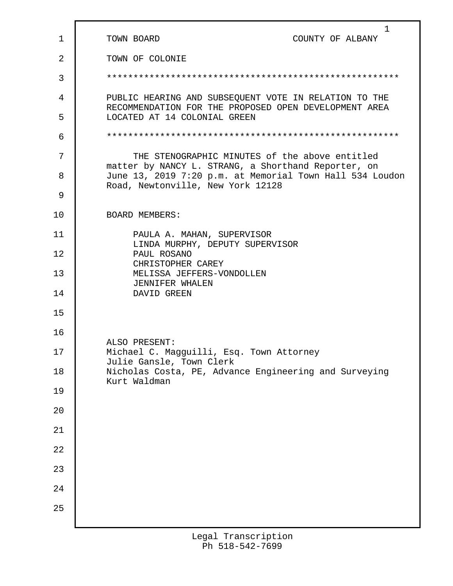| $\mathbf{1}$   | 1<br>TOWN BOARD<br>COUNTY OF ALBANY                                                                                                                  |
|----------------|------------------------------------------------------------------------------------------------------------------------------------------------------|
| $\overline{2}$ | TOWN OF COLONIE                                                                                                                                      |
| 3              |                                                                                                                                                      |
| 4              | PUBLIC HEARING AND SUBSEQUENT VOTE IN RELATION TO THE<br>RECOMMENDATION FOR THE PROPOSED OPEN DEVELOPMENT AREA                                       |
| 5              | LOCATED AT 14 COLONIAL GREEN                                                                                                                         |
| 6              |                                                                                                                                                      |
| 7              | THE STENOGRAPHIC MINUTES of the above entitled                                                                                                       |
| 8              | matter by NANCY L. STRANG, a Shorthand Reporter, on<br>June 13, 2019 7:20 p.m. at Memorial Town Hall 534 Loudon<br>Road, Newtonville, New York 12128 |
| 9              |                                                                                                                                                      |
| 10             | <b>BOARD MEMBERS:</b>                                                                                                                                |
| 11             | PAULA A. MAHAN, SUPERVISOR<br>LINDA MURPHY, DEPUTY SUPERVISOR                                                                                        |
| 12             | PAUL ROSANO<br>CHRISTOPHER CAREY                                                                                                                     |
| 13             | MELISSA JEFFERS-VONDOLLEN<br><b>JENNIFER WHALEN</b>                                                                                                  |
| 14             | DAVID GREEN                                                                                                                                          |
| 15             |                                                                                                                                                      |
| 16             | ALSO PRESENT:                                                                                                                                        |
| 17             | Michael C. Magguilli, Esq. Town Attorney<br>Julie Gansle, Town Clerk                                                                                 |
| 18             | Nicholas Costa, PE, Advance Engineering and Surveying<br>Kurt Waldman                                                                                |
| 19             |                                                                                                                                                      |
| 20             |                                                                                                                                                      |
| 21             |                                                                                                                                                      |
| 22             |                                                                                                                                                      |
| 23             |                                                                                                                                                      |
| 24             |                                                                                                                                                      |
| 25             |                                                                                                                                                      |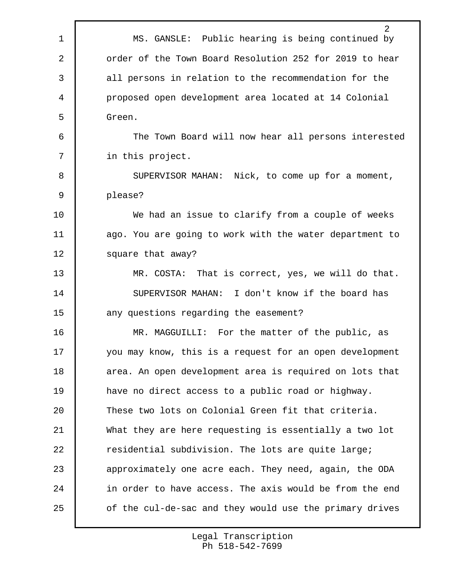2 1 MS. GANSLE: Public hearing is being continued by 2 **order of the Town Board Resolution 252 for 2019 to hear** 3 all persons in relation to the recommendation for the 4 proposed open development area located at 14 Colonial 5 Green. 6 The Town Board will now hear all persons interested 7 in this project. 8 SUPERVISOR MAHAN: Nick, to come up for a moment, 9 please? 10 We had an issue to clarify from a couple of weeks 11 ago. You are going to work with the water department to 12 | square that away? 13 MR. COSTA: That is correct, yes, we will do that. 14 SUPERVISOR MAHAN: I don't know if the board has 15 **any** questions regarding the easement? 16 MR. MAGGUILLI: For the matter of the public, as 17 you may know, this is a request for an open development 18 area. An open development area is required on lots that 19 have no direct access to a public road or highway. 20 These two lots on Colonial Green fit that criteria. 21 What they are here requesting is essentially a two lot 22 Tesidential subdivision. The lots are quite large; 23 approximately one acre each. They need, again, the ODA 24 in order to have access. The axis would be from the end 25 of the cul-de-sac and they would use the primary drives

> Legal Transcription Ph 518-542-7699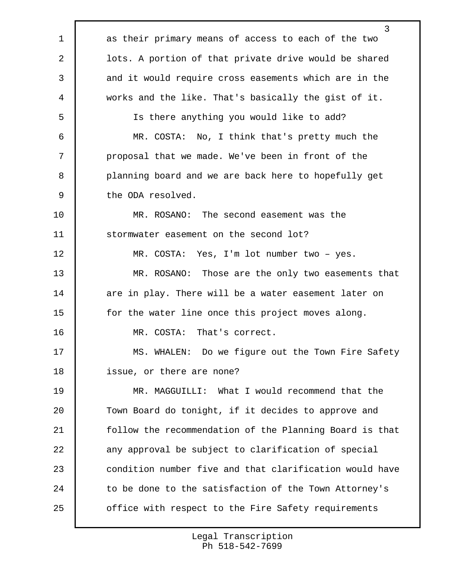1 as their primary means of access to each of the two lots. A portion of that private drive would be shared 3 and it would require cross easements which are in the works and the like. That's basically the gist of it. Is there anything you would like to add? MR. COSTA: No, I think that's pretty much the proposal that we made. We've been in front of the **planning board and we are back here to hopefully get**  the ODA resolved. MR. ROSANO: The second easement was the 11 stormwater easement on the second lot? MR. COSTA: Yes, I'm lot number two – yes. MR. ROSANO: Those are the only two easements that 14 are in play. There will be a water easement later on 15 | for the water line once this project moves along. MR. COSTA: That's correct. 17 | MS. WHALEN: Do we figure out the Town Fire Safety issue, or there are none? MR. MAGGUILLI: What I would recommend that the 20 Town Board do tonight, if it decides to approve and follow the recommendation of the Planning Board is that 22 any approval be subject to clarification of special **condition number five and that clarification would have** 24 to be done to the satisfaction of the Town Attorney's **office with respect to the Fire Safety requirements** 

> Legal Transcription Ph 518-542-7699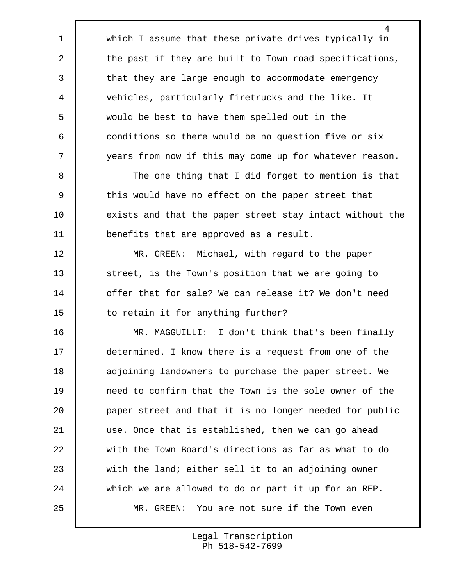which I assume that these private drives typically in 2 the past if they are built to Town road specifications, 3 that they are large enough to accommodate emergency vehicles, particularly firetrucks and the like. It would be best to have them spelled out in the conditions so there would be no question five or six years from now if this may come up for whatever reason.

8 The one thing that I did forget to mention is that 9 this would have no effect on the paper street that 10 exists and that the paper street stay intact without the benefits that are approved as a result.

 MR. GREEN: Michael, with regard to the paper 13 street, is the Town's position that we are going to offer that for sale? We can release it? We don't need 15 to retain it for anything further?

 MR. MAGGUILLI: I don't think that's been finally determined. I know there is a request from one of the 18 adjoining landowners to purchase the paper street. We **need to confirm that the Town is the sole owner of the**  paper street and that it is no longer needed for public use. Once that is established, then we can go ahead with the Town Board's directions as far as what to do with the land; either sell it to an adjoining owner which we are allowed to do or part it up for an RFP. MR. GREEN: You are not sure if the Town even

> Legal Transcription Ph 518-542-7699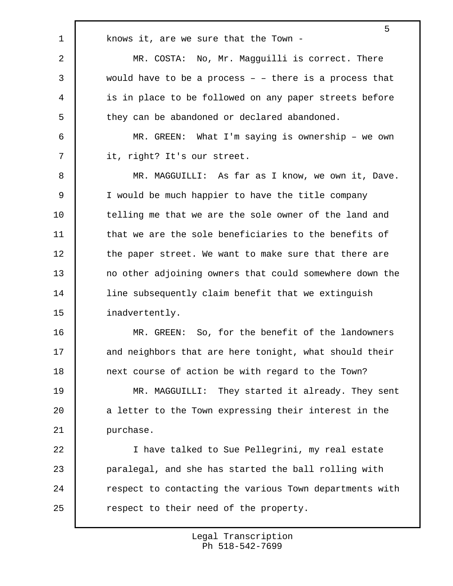1 | knows it, are we sure that the Town -

 MR. COSTA: No, Mr. Magguilli is correct. There would have to be a process – – there is a process that is in place to be followed on any paper streets before 5 they can be abandoned or declared abandoned.

 6 MR. GREEN: What I'm saying is ownership – we own 7 it, right? It's our street.

 MR. MAGGUILLI: As far as I know, we own it, Dave. I would be much happier to have the title company 10 telling me that we are the sole owner of the land and **that we are the sole beneficiaries to the benefits of** 12 the paper street. We want to make sure that there are no other adjoining owners that could somewhere down the line subsequently claim benefit that we extinguish 15 inadvertently.

16 MR. GREEN: So, for the benefit of the landowners 17 and neighbors that are here tonight, what should their 18 next course of action be with regard to the Town?

19 MR. MAGGUILLI: They started it already. They sent 20 a letter to the Town expressing their interest in the 21 | purchase.

 I have talked to Sue Pellegrini, my real estate paralegal, and she has started the ball rolling with **F** respect to contacting the various Town departments with 25 Tespect to their need of the property.

> Legal Transcription Ph 518-542-7699

5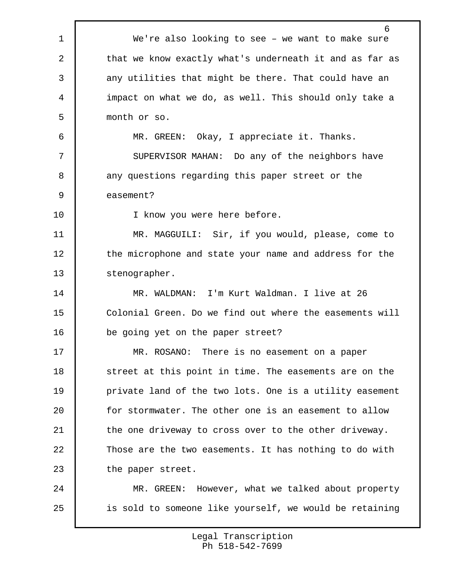6 1 We're also looking to see – we want to make sure 2 that we know exactly what's underneath it and as far as 3 any utilities that might be there. That could have an 4 impact on what we do, as well. This should only take a 5 month or so. 6 MR. GREEN: Okay, I appreciate it. Thanks. 7 | SUPERVISOR MAHAN: Do any of the neighbors have 8 any questions regarding this paper street or the 9 easement? 10 I know you were here before. 11 MR. MAGGUILI: Sir, if you would, please, come to 12 the microphone and state your name and address for the 13 stenographer. 14 MR. WALDMAN: I'm Kurt Waldman. I live at 26 15 Colonial Green. Do we find out where the easements will 16 be going yet on the paper street? 17 MR. ROSANO: There is no easement on a paper 18 Street at this point in time. The easements are on the 19 private land of the two lots. One is a utility easement 20 for stormwater. The other one is an easement to allow 21 the one driveway to cross over to the other driveway. 22 Those are the two easements. It has nothing to do with 23 the paper street. 24 MR. GREEN: However, what we talked about property 25 is sold to someone like yourself, we would be retaining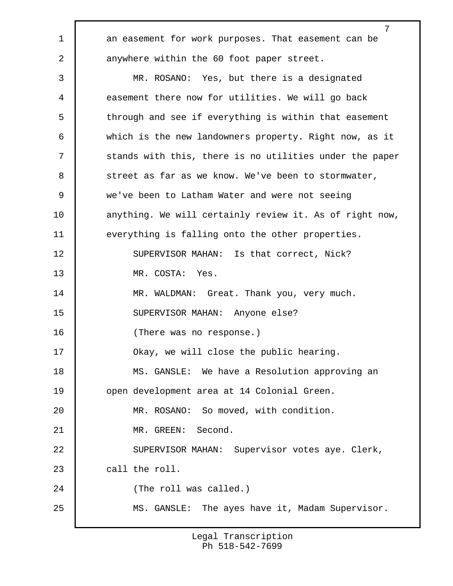1 an easement for work purposes. That easement can be 2 anywhere within the 60 foot paper street.

 3 MR. ROSANO: Yes, but there is a designated 4 easement there now for utilities. We will go back 5 through and see if everything is within that easement 6 which is the new landowners property. Right now, as it 7 stands with this, there is no utilities under the paper 8 street as far as we know. We've been to stormwater, 9 we've been to Latham Water and were not seeing 10 | anything. We will certainly review it. As of right now, 11 everything is falling onto the other properties. 12 SUPERVISOR MAHAN: Is that correct, Nick? 13 MR. COSTA: Yes. 14 MR. WALDMAN: Great. Thank you, very much. 15 SUPERVISOR MAHAN: Anyone else? 16 (There was no response.) 17 Okay, we will close the public hearing. 18 | MS. GANSLE: We have a Resolution approving an 19 | open development area at 14 Colonial Green. 20 MR. ROSANO: So moved, with condition. 21 MR. GREEN: Second. 22 SUPERVISOR MAHAN: Supervisor votes aye. Clerk, 23 call the roll. 24 (The roll was called.) 25 MS. GANSLE: The ayes have it, Madam Supervisor.

> Legal Transcription Ph 518-542-7699

7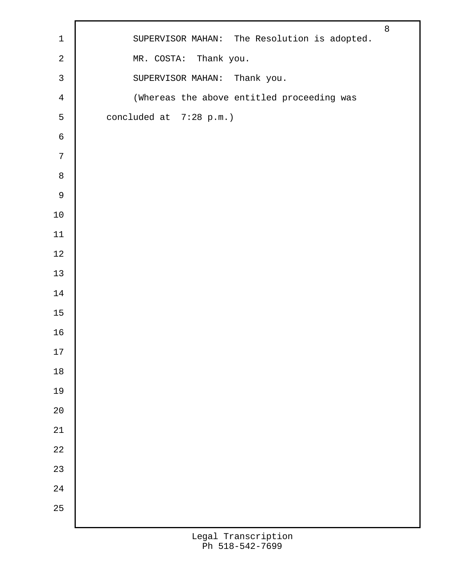| $\sqrt{2}$<br>MR. COSTA: Thank you.<br>$\mathsf{3}$<br>SUPERVISOR MAHAN: Thank you.<br>(Whereas the above entitled proceeding was<br>$\overline{4}$<br>5<br>concluded at 7:28 p.m.)<br>$\epsilon$<br>$7\phantom{.}$<br>$\,8\,$<br>$\mathsf 9$<br>$10\,$<br>$11\,$<br>$12\,$<br>$13\,$<br>$14\,$<br>$15\,$<br>16<br>17<br>$18\,$<br>19<br>$20\,$<br>$21\,$<br>$2\sqrt{2}$<br>$23\,$<br>$24\,$<br>25 | $\mathbf 1$ | SUPERVISOR MAHAN: The Resolution is adopted. | $\,8\,$ |
|----------------------------------------------------------------------------------------------------------------------------------------------------------------------------------------------------------------------------------------------------------------------------------------------------------------------------------------------------------------------------------------------------|-------------|----------------------------------------------|---------|
|                                                                                                                                                                                                                                                                                                                                                                                                    |             |                                              |         |
|                                                                                                                                                                                                                                                                                                                                                                                                    |             |                                              |         |
|                                                                                                                                                                                                                                                                                                                                                                                                    |             |                                              |         |
|                                                                                                                                                                                                                                                                                                                                                                                                    |             |                                              |         |
|                                                                                                                                                                                                                                                                                                                                                                                                    |             |                                              |         |
|                                                                                                                                                                                                                                                                                                                                                                                                    |             |                                              |         |
|                                                                                                                                                                                                                                                                                                                                                                                                    |             |                                              |         |
|                                                                                                                                                                                                                                                                                                                                                                                                    |             |                                              |         |
|                                                                                                                                                                                                                                                                                                                                                                                                    |             |                                              |         |
|                                                                                                                                                                                                                                                                                                                                                                                                    |             |                                              |         |
|                                                                                                                                                                                                                                                                                                                                                                                                    |             |                                              |         |
|                                                                                                                                                                                                                                                                                                                                                                                                    |             |                                              |         |
|                                                                                                                                                                                                                                                                                                                                                                                                    |             |                                              |         |
|                                                                                                                                                                                                                                                                                                                                                                                                    |             |                                              |         |
|                                                                                                                                                                                                                                                                                                                                                                                                    |             |                                              |         |
|                                                                                                                                                                                                                                                                                                                                                                                                    |             |                                              |         |
|                                                                                                                                                                                                                                                                                                                                                                                                    |             |                                              |         |
|                                                                                                                                                                                                                                                                                                                                                                                                    |             |                                              |         |
|                                                                                                                                                                                                                                                                                                                                                                                                    |             |                                              |         |
|                                                                                                                                                                                                                                                                                                                                                                                                    |             |                                              |         |
|                                                                                                                                                                                                                                                                                                                                                                                                    |             |                                              |         |
|                                                                                                                                                                                                                                                                                                                                                                                                    |             |                                              |         |
|                                                                                                                                                                                                                                                                                                                                                                                                    |             |                                              |         |
|                                                                                                                                                                                                                                                                                                                                                                                                    |             |                                              |         |